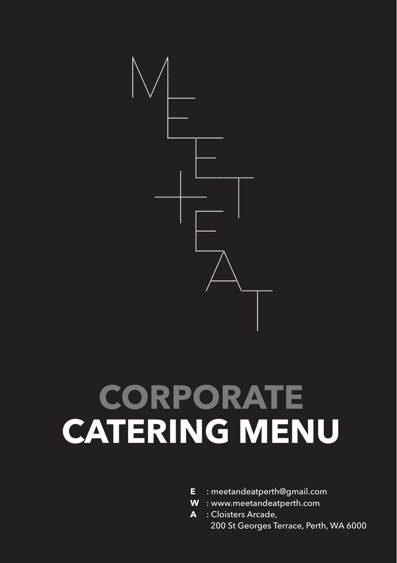

## **CORPORATE CATERING MENU**

- **E** : meetandeatperth@gmail.com
- **W** : www.meetandeatperth.com
- **A** : Cloisters Arcade, 200 St Georges Terrace, Perth, WA 6000